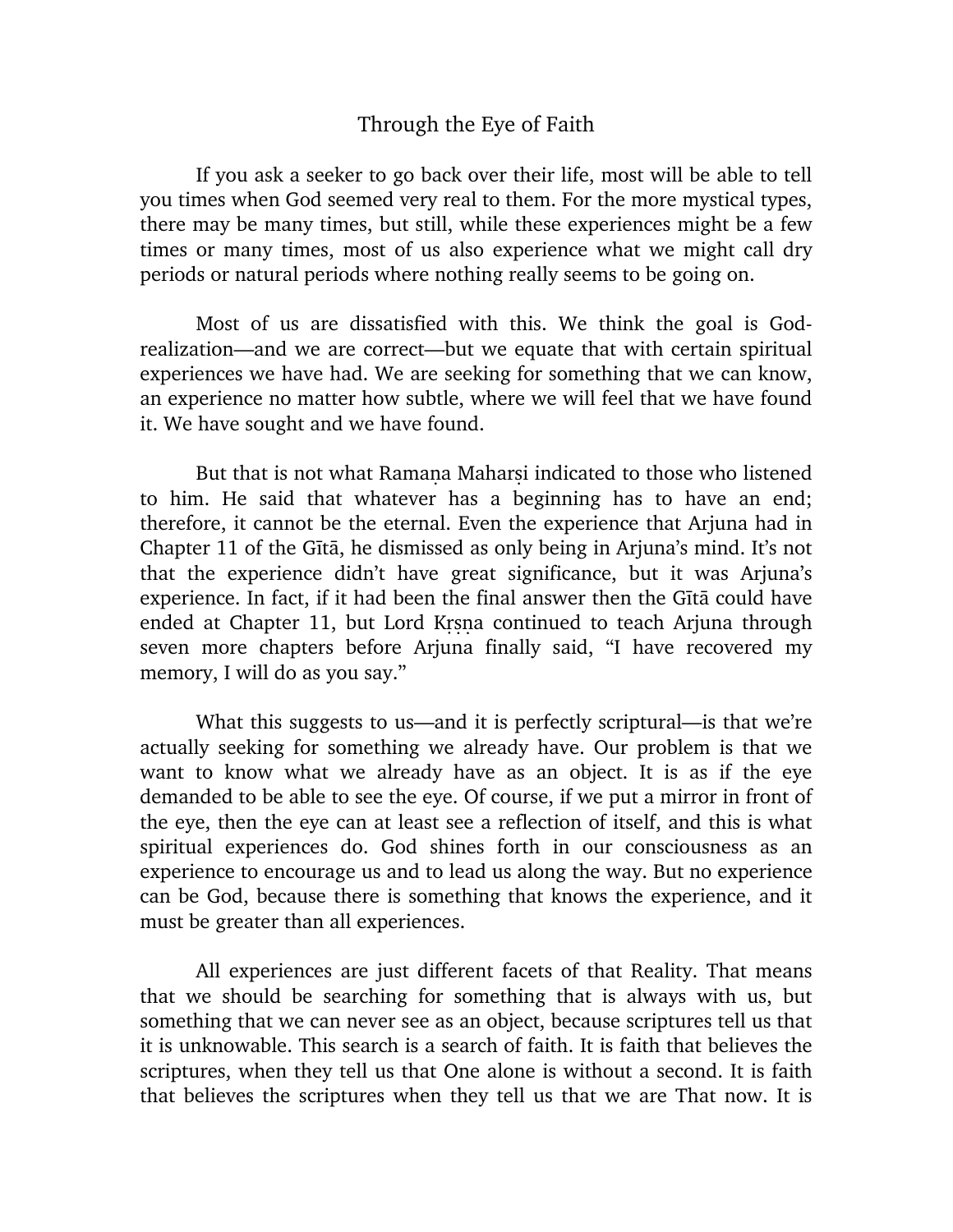## Through the Eye of Faith

If you ask a seeker to go back over their life, most will be able to tell you times when God seemed very real to them. For the more mystical types, there may be many times, but still, while these experiences might be a few times or many times, most of us also experience what we might call dry periods or natural periods where nothing really seems to be going on.

Most of us are dissatisfied with this. We think the goal is Godrealization—and we are correct—but we equate that with certain spiritual experiences we have had. We are seeking for something that we can know, an experience no matter how subtle, where we will feel that we have found it. We have sought and we have found.

But that is not what Ramana Maharsi indicated to those who listened to him. He said that whatever has a beginning has to have an end; therefore, it cannot be the eternal. Even the experience that Arjuna had in Chapter 11 of the Gita, he dismissed as only being in Arjuna's mind. It's not that the experience didn't have great significance, but it was Arjuna's experience. In fact, if it had been the final answer then the Gita could have ended at Chapter 11, but Lord Krsna continued to teach Arjuna through seven more chapters before Arjuna finally said, "I have recovered my memory, I will do as you say."

What this suggests to us—and it is perfectly scriptural—is that we're actually seeking for something we already have. Our problem is that we want to know what we already have as an object. It is as if the eye demanded to be able to see the eye. Of course, if we put a mirror in front of the eye, then the eye can at least see a reflection of itself, and this is what spiritual experiences do. God shines forth in our consciousness as an experience to encourage us and to lead us along the way. But no experience can be God, because there is something that knows the experience, and it must be greater than all experiences.

All experiences are just different facets of that Reality. That means that we should be searching for something that is always with us, but something that we can never see as an object, because scriptures tell us that it is unknowable. This search is a search of faith. It is faith that believes the scriptures, when they tell us that One alone is without a second. It is faith that believes the scriptures when they tell us that we are That now. It is